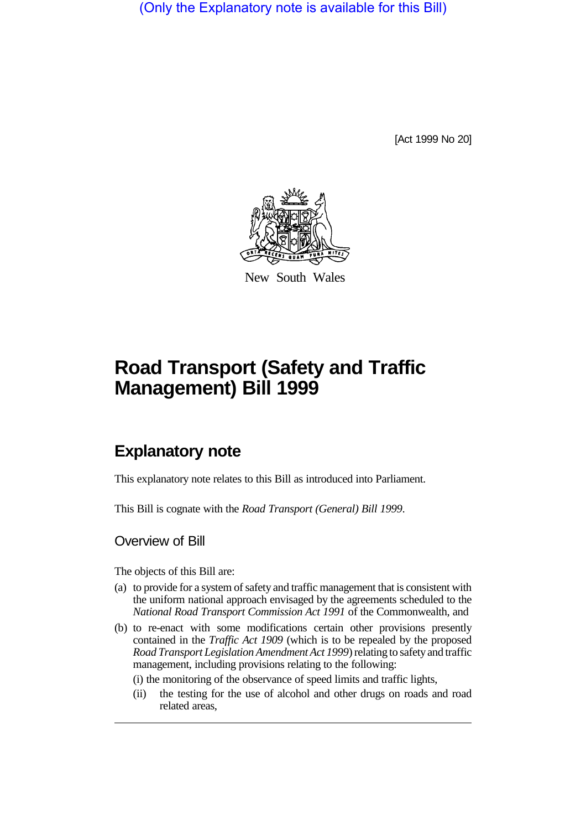(Only the Explanatory note is available for this Bill)

[Act 1999 No 20]



New South Wales

# **Road Transport (Safety and Traffic Management) Bill 1999**

# **Explanatory note**

This explanatory note relates to this Bill as introduced into Parliament.

This Bill is cognate with the *Road Transport (General) Bill 1999*.

### Overview of Bill

The objects of this Bill are:

- (a) to provide for a system of safety and traffic management that is consistent with the uniform national approach envisaged by the agreements scheduled to the *National Road Transport Commission Act 1991* of the Commonwealth, and
- (b) to re-enact with some modifications certain other provisions presently contained in the *Traffic Act 1909* (which is to be repealed by the proposed *Road Transport Legislation Amendment Act 1999*) relating to safety and traffic management, including provisions relating to the following:
	- (i) the monitoring of the observance of speed limits and traffic lights,
	- (ii) the testing for the use of alcohol and other drugs on roads and road related areas,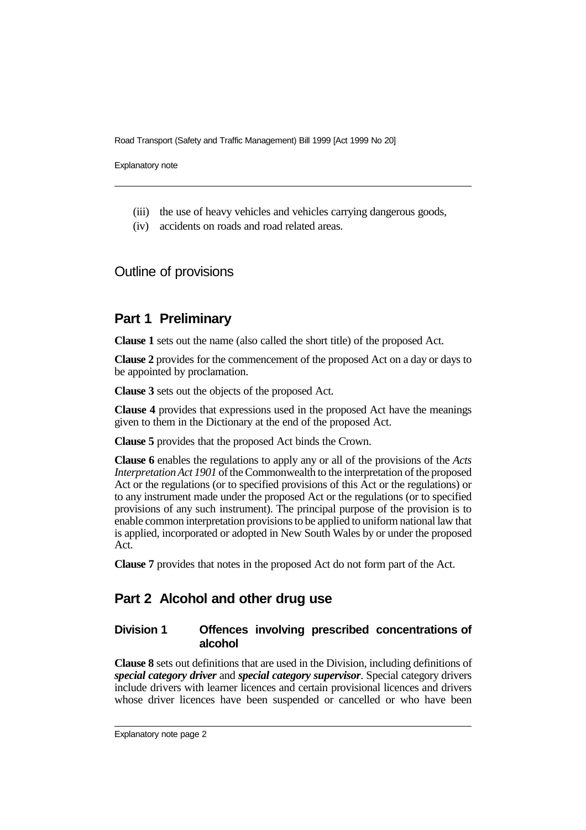Explanatory note

- (iii) the use of heavy vehicles and vehicles carrying dangerous goods,
- (iv) accidents on roads and road related areas.

## Outline of provisions

### **Part 1 Preliminary**

**Clause 1** sets out the name (also called the short title) of the proposed Act.

**Clause 2** provides for the commencement of the proposed Act on a day or days to be appointed by proclamation.

**Clause 3** sets out the objects of the proposed Act.

**Clause 4** provides that expressions used in the proposed Act have the meanings given to them in the Dictionary at the end of the proposed Act.

**Clause 5** provides that the proposed Act binds the Crown.

**Clause 6** enables the regulations to apply any or all of the provisions of the *Acts Interpretation Act 1901* of the Commonwealth to the interpretation of the proposed Act or the regulations (or to specified provisions of this Act or the regulations) or to any instrument made under the proposed Act or the regulations (or to specified provisions of any such instrument). The principal purpose of the provision is to enable common interpretation provisions to be applied to uniform national law that is applied, incorporated or adopted in New South Wales by or under the proposed Act.

**Clause 7** provides that notes in the proposed Act do not form part of the Act.

## **Part 2 Alcohol and other drug use**

### **Division 1 Offences involving prescribed concentrations of alcohol**

**Clause 8** sets out definitions that are used in the Division, including definitions of *special category driver* and *special category supervisor*. Special category drivers include drivers with learner licences and certain provisional licences and drivers whose driver licences have been suspended or cancelled or who have been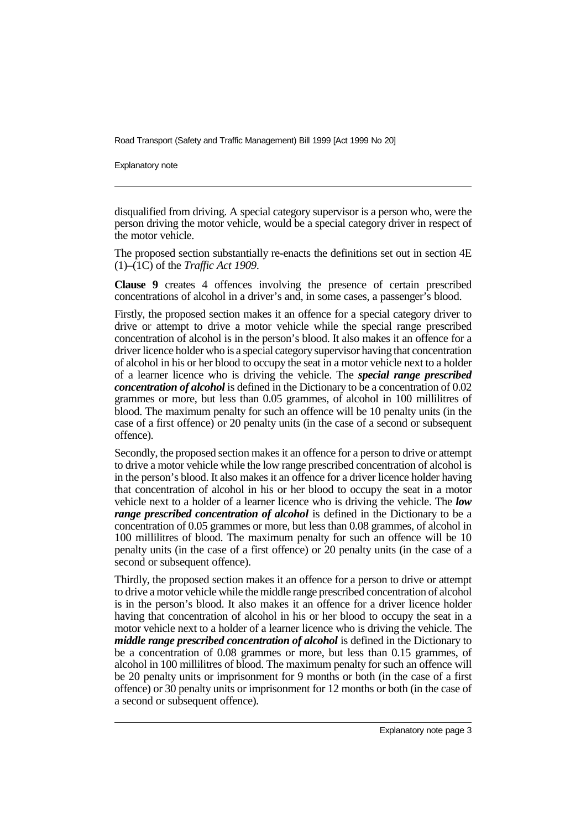Explanatory note

disqualified from driving. A special category supervisor is a person who, were the person driving the motor vehicle, would be a special category driver in respect of the motor vehicle.

The proposed section substantially re-enacts the definitions set out in section 4E (1)–(1C) of the *Traffic Act 1909*.

**Clause 9** creates 4 offences involving the presence of certain prescribed concentrations of alcohol in a driver's and, in some cases, a passenger's blood.

Firstly, the proposed section makes it an offence for a special category driver to drive or attempt to drive a motor vehicle while the special range prescribed concentration of alcohol is in the person's blood. It also makes it an offence for a driver licence holder who is a special category supervisor having that concentration of alcohol in his or her blood to occupy the seat in a motor vehicle next to a holder of a learner licence who is driving the vehicle. The *special range prescribed concentration of alcohol* is defined in the Dictionary to be a concentration of 0.02 grammes or more, but less than 0.05 grammes, of alcohol in 100 millilitres of blood. The maximum penalty for such an offence will be 10 penalty units (in the case of a first offence) or 20 penalty units (in the case of a second or subsequent offence).

Secondly, the proposed section makes it an offence for a person to drive or attempt to drive a motor vehicle while the low range prescribed concentration of alcohol is in the person's blood. It also makes it an offence for a driver licence holder having that concentration of alcohol in his or her blood to occupy the seat in a motor vehicle next to a holder of a learner licence who is driving the vehicle. The *low range prescribed concentration of alcohol* is defined in the Dictionary to be a concentration of 0.05 grammes or more, but less than 0.08 grammes, of alcohol in 100 millilitres of blood. The maximum penalty for such an offence will be 10 penalty units (in the case of a first offence) or 20 penalty units (in the case of a second or subsequent offence).

Thirdly, the proposed section makes it an offence for a person to drive or attempt to drive a motor vehicle while the middle range prescribed concentration of alcohol is in the person's blood. It also makes it an offence for a driver licence holder having that concentration of alcohol in his or her blood to occupy the seat in a motor vehicle next to a holder of a learner licence who is driving the vehicle. The *middle range prescribed concentration of alcohol* is defined in the Dictionary to be a concentration of 0.08 grammes or more, but less than 0.15 grammes, of alcohol in 100 millilitres of blood. The maximum penalty for such an offence will be 20 penalty units or imprisonment for 9 months or both (in the case of a first offence) or 30 penalty units or imprisonment for 12 months or both (in the case of a second or subsequent offence).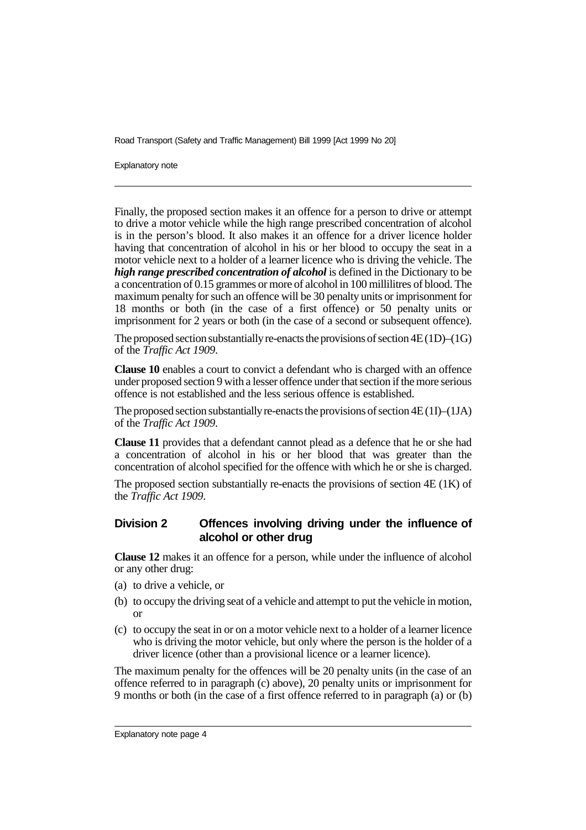Explanatory note

Finally, the proposed section makes it an offence for a person to drive or attempt to drive a motor vehicle while the high range prescribed concentration of alcohol is in the person's blood. It also makes it an offence for a driver licence holder having that concentration of alcohol in his or her blood to occupy the seat in a motor vehicle next to a holder of a learner licence who is driving the vehicle. The *high range prescribed concentration of alcohol* is defined in the Dictionary to be a concentration of 0.15 grammes or more of alcohol in 100 millilitres of blood. The maximum penalty for such an offence will be 30 penalty units or imprisonment for 18 months or both (in the case of a first offence) or 50 penalty units or imprisonment for 2 years or both (in the case of a second or subsequent offence).

The proposed section substantially re-enacts the provisions of section 4E (1D)–(1G) of the *Traffic Act 1909*.

**Clause 10** enables a court to convict a defendant who is charged with an offence under proposed section 9 with a lesser offence under that section if the more serious offence is not established and the less serious offence is established.

The proposed section substantially re-enacts the provisions of section 4E (1I)–(1JA) of the *Traffic Act 1909*.

**Clause 11** provides that a defendant cannot plead as a defence that he or she had a concentration of alcohol in his or her blood that was greater than the concentration of alcohol specified for the offence with which he or she is charged.

The proposed section substantially re-enacts the provisions of section 4E (1K) of the *Traffic Act 1909*.

### **Division 2 Offences involving driving under the influence of alcohol or other drug**

**Clause 12** makes it an offence for a person, while under the influence of alcohol or any other drug:

- (a) to drive a vehicle, or
- (b) to occupy the driving seat of a vehicle and attempt to put the vehicle in motion, or
- (c) to occupy the seat in or on a motor vehicle next to a holder of a learner licence who is driving the motor vehicle, but only where the person is the holder of a driver licence (other than a provisional licence or a learner licence).

The maximum penalty for the offences will be 20 penalty units (in the case of an offence referred to in paragraph (c) above), 20 penalty units or imprisonment for 9 months or both (in the case of a first offence referred to in paragraph (a) or (b)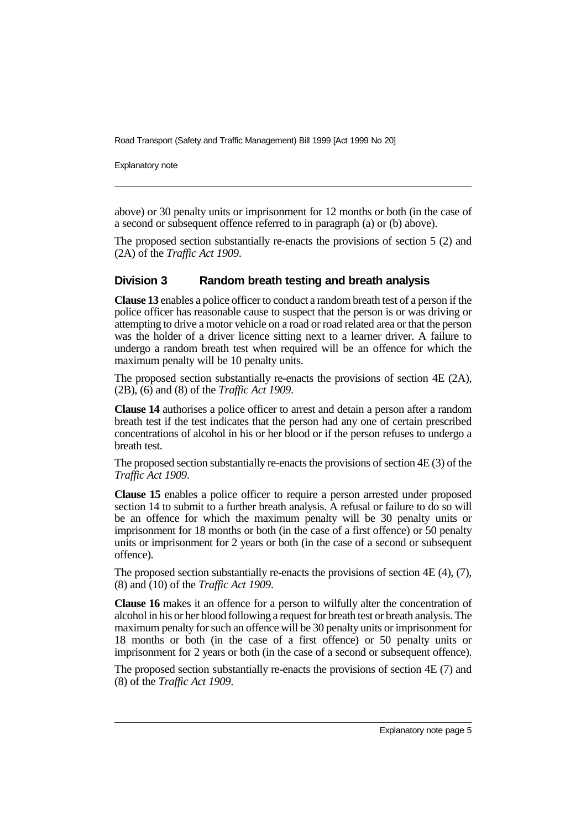Explanatory note

above) or 30 penalty units or imprisonment for 12 months or both (in the case of a second or subsequent offence referred to in paragraph (a) or (b) above).

The proposed section substantially re-enacts the provisions of section 5 (2) and (2A) of the *Traffic Act 1909*.

### **Division 3 Random breath testing and breath analysis**

**Clause 13** enables a police officer to conduct a random breath test of a person if the police officer has reasonable cause to suspect that the person is or was driving or attempting to drive a motor vehicle on a road or road related area or that the person was the holder of a driver licence sitting next to a learner driver. A failure to undergo a random breath test when required will be an offence for which the maximum penalty will be 10 penalty units.

The proposed section substantially re-enacts the provisions of section  $4E(2A)$ , (2B), (6) and (8) of the *Traffic Act 1909*.

**Clause 14** authorises a police officer to arrest and detain a person after a random breath test if the test indicates that the person had any one of certain prescribed concentrations of alcohol in his or her blood or if the person refuses to undergo a breath test.

The proposed section substantially re-enacts the provisions of section 4E (3) of the *Traffic Act 1909*.

**Clause 15** enables a police officer to require a person arrested under proposed section 14 to submit to a further breath analysis. A refusal or failure to do so will be an offence for which the maximum penalty will be 30 penalty units or imprisonment for 18 months or both (in the case of a first offence) or 50 penalty units or imprisonment for 2 years or both (in the case of a second or subsequent offence).

The proposed section substantially re-enacts the provisions of section 4E (4), (7), (8) and (10) of the *Traffic Act 1909*.

**Clause 16** makes it an offence for a person to wilfully alter the concentration of alcohol in his or her blood following a request for breath test or breath analysis. The maximum penalty for such an offence will be 30 penalty units or imprisonment for 18 months or both (in the case of a first offence) or 50 penalty units or imprisonment for 2 years or both (in the case of a second or subsequent offence).

The proposed section substantially re-enacts the provisions of section 4E (7) and (8) of the *Traffic Act 1909*.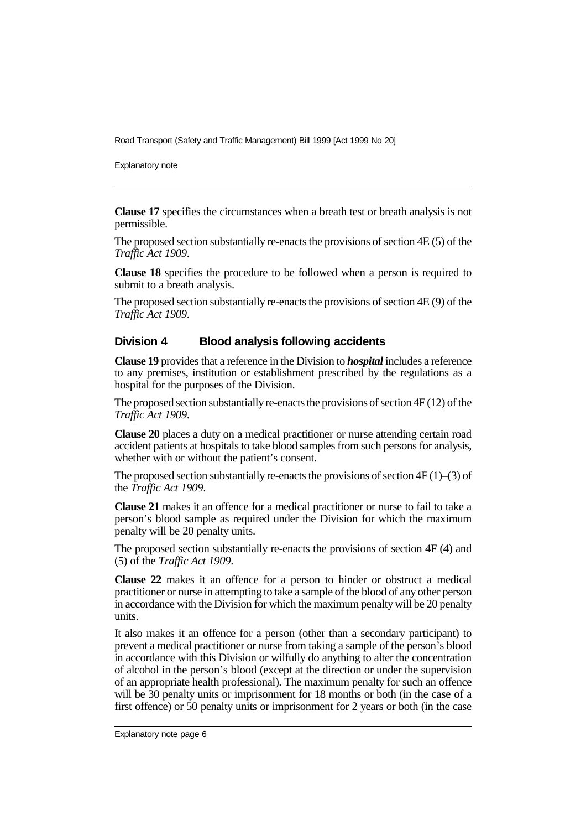Explanatory note

**Clause 17** specifies the circumstances when a breath test or breath analysis is not permissible.

The proposed section substantially re-enacts the provisions of section 4E (5) of the *Traffic Act 1909*.

**Clause 18** specifies the procedure to be followed when a person is required to submit to a breath analysis.

The proposed section substantially re-enacts the provisions of section 4E (9) of the *Traffic Act 1909*.

### **Division 4 Blood analysis following accidents**

**Clause 19** provides that a reference in the Division to *hospital* includes a reference to any premises, institution or establishment prescribed by the regulations as a hospital for the purposes of the Division.

The proposed section substantially re-enacts the provisions of section 4F (12) of the *Traffic Act 1909*.

**Clause 20** places a duty on a medical practitioner or nurse attending certain road accident patients at hospitals to take blood samples from such persons for analysis, whether with or without the patient's consent.

The proposed section substantially re-enacts the provisions of section  $4F(1)$ –(3) of the *Traffic Act 1909*.

**Clause 21** makes it an offence for a medical practitioner or nurse to fail to take a person's blood sample as required under the Division for which the maximum penalty will be 20 penalty units.

The proposed section substantially re-enacts the provisions of section 4F (4) and (5) of the *Traffic Act 1909*.

**Clause 22** makes it an offence for a person to hinder or obstruct a medical practitioner or nurse in attempting to take a sample of the blood of any other person in accordance with the Division for which the maximum penalty will be 20 penalty units.

It also makes it an offence for a person (other than a secondary participant) to prevent a medical practitioner or nurse from taking a sample of the person's blood in accordance with this Division or wilfully do anything to alter the concentration of alcohol in the person's blood (except at the direction or under the supervision of an appropriate health professional). The maximum penalty for such an offence will be 30 penalty units or imprisonment for 18 months or both (in the case of a first offence) or 50 penalty units or imprisonment for 2 years or both (in the case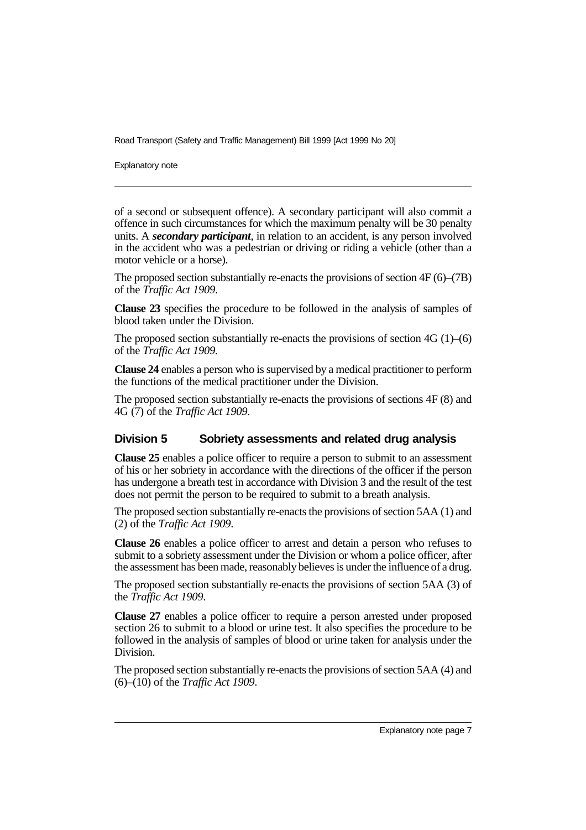Explanatory note

of a second or subsequent offence). A secondary participant will also commit a offence in such circumstances for which the maximum penalty will be 30 penalty units. A *secondary participant*, in relation to an accident, is any person involved in the accident who was a pedestrian or driving or riding a vehicle (other than a motor vehicle or a horse).

The proposed section substantially re-enacts the provisions of section 4F (6)–(7B) of the *Traffic Act 1909*.

**Clause 23** specifies the procedure to be followed in the analysis of samples of blood taken under the Division.

The proposed section substantially re-enacts the provisions of section  $4G(1)$ – $(6)$ of the *Traffic Act 1909*.

**Clause 24** enables a person who is supervised by a medical practitioner to perform the functions of the medical practitioner under the Division.

The proposed section substantially re-enacts the provisions of sections 4F (8) and 4G (7) of the *Traffic Act 1909*.

### **Division 5 Sobriety assessments and related drug analysis**

**Clause 25** enables a police officer to require a person to submit to an assessment of his or her sobriety in accordance with the directions of the officer if the person has undergone a breath test in accordance with Division 3 and the result of the test does not permit the person to be required to submit to a breath analysis.

The proposed section substantially re-enacts the provisions of section 5AA (1) and (2) of the *Traffic Act 1909*.

**Clause 26** enables a police officer to arrest and detain a person who refuses to submit to a sobriety assessment under the Division or whom a police officer, after the assessment has been made, reasonably believes is under the influence of a drug.

The proposed section substantially re-enacts the provisions of section 5AA (3) of the *Traffic Act 1909*.

**Clause 27** enables a police officer to require a person arrested under proposed section 26 to submit to a blood or urine test. It also specifies the procedure to be followed in the analysis of samples of blood or urine taken for analysis under the Division.

The proposed section substantially re-enacts the provisions of section 5AA (4) and (6)–(10) of the *Traffic Act 1909*.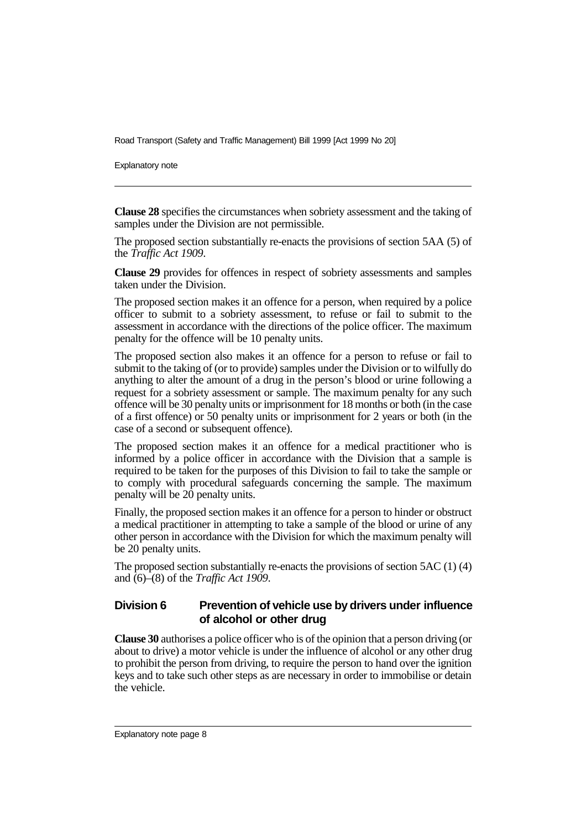Explanatory note

**Clause 28** specifies the circumstances when sobriety assessment and the taking of samples under the Division are not permissible.

The proposed section substantially re-enacts the provisions of section 5AA (5) of the *Traffic Act 1909*.

**Clause 29** provides for offences in respect of sobriety assessments and samples taken under the Division.

The proposed section makes it an offence for a person, when required by a police officer to submit to a sobriety assessment, to refuse or fail to submit to the assessment in accordance with the directions of the police officer. The maximum penalty for the offence will be 10 penalty units.

The proposed section also makes it an offence for a person to refuse or fail to submit to the taking of (or to provide) samples under the Division or to wilfully do anything to alter the amount of a drug in the person's blood or urine following a request for a sobriety assessment or sample. The maximum penalty for any such offence will be 30 penalty units or imprisonment for 18 months or both (in the case of a first offence) or 50 penalty units or imprisonment for 2 years or both (in the case of a second or subsequent offence).

The proposed section makes it an offence for a medical practitioner who is informed by a police officer in accordance with the Division that a sample is required to be taken for the purposes of this Division to fail to take the sample or to comply with procedural safeguards concerning the sample. The maximum penalty will be 20 penalty units.

Finally, the proposed section makes it an offence for a person to hinder or obstruct a medical practitioner in attempting to take a sample of the blood or urine of any other person in accordance with the Division for which the maximum penalty will be 20 penalty units.

The proposed section substantially re-enacts the provisions of section 5AC (1) (4) and (6)–(8) of the *Traffic Act 1909*.

### **Division 6 Prevention of vehicle use by drivers under influence of alcohol or other drug**

**Clause 30** authorises a police officer who is of the opinion that a person driving (or about to drive) a motor vehicle is under the influence of alcohol or any other drug to prohibit the person from driving, to require the person to hand over the ignition keys and to take such other steps as are necessary in order to immobilise or detain the vehicle.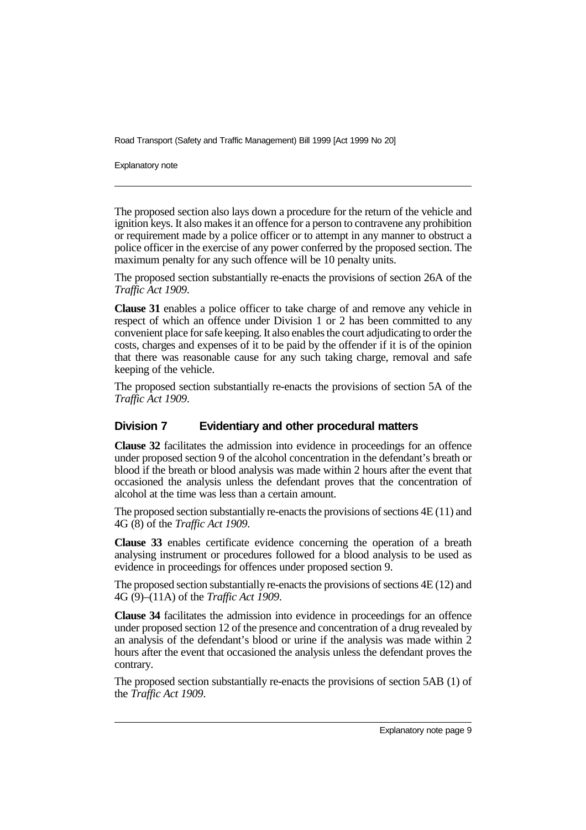Explanatory note

The proposed section also lays down a procedure for the return of the vehicle and ignition keys. It also makes it an offence for a person to contravene any prohibition or requirement made by a police officer or to attempt in any manner to obstruct a police officer in the exercise of any power conferred by the proposed section. The maximum penalty for any such offence will be 10 penalty units.

The proposed section substantially re-enacts the provisions of section 26A of the *Traffic Act 1909*.

**Clause 31** enables a police officer to take charge of and remove any vehicle in respect of which an offence under Division 1 or 2 has been committed to any convenient place for safe keeping. It also enables the court adjudicating to order the costs, charges and expenses of it to be paid by the offender if it is of the opinion that there was reasonable cause for any such taking charge, removal and safe keeping of the vehicle.

The proposed section substantially re-enacts the provisions of section 5A of the *Traffic Act 1909*.

### **Division 7 Evidentiary and other procedural matters**

**Clause 32** facilitates the admission into evidence in proceedings for an offence under proposed section 9 of the alcohol concentration in the defendant's breath or blood if the breath or blood analysis was made within 2 hours after the event that occasioned the analysis unless the defendant proves that the concentration of alcohol at the time was less than a certain amount.

The proposed section substantially re-enacts the provisions of sections 4E (11) and 4G (8) of the *Traffic Act 1909*.

**Clause 33** enables certificate evidence concerning the operation of a breath analysing instrument or procedures followed for a blood analysis to be used as evidence in proceedings for offences under proposed section 9.

The proposed section substantially re-enacts the provisions of sections 4E (12) and 4G (9)–(11A) of the *Traffic Act 1909*.

**Clause 34** facilitates the admission into evidence in proceedings for an offence under proposed section 12 of the presence and concentration of a drug revealed by an analysis of the defendant's blood or urine if the analysis was made within 2 hours after the event that occasioned the analysis unless the defendant proves the contrary.

The proposed section substantially re-enacts the provisions of section 5AB (1) of the *Traffic Act 1909*.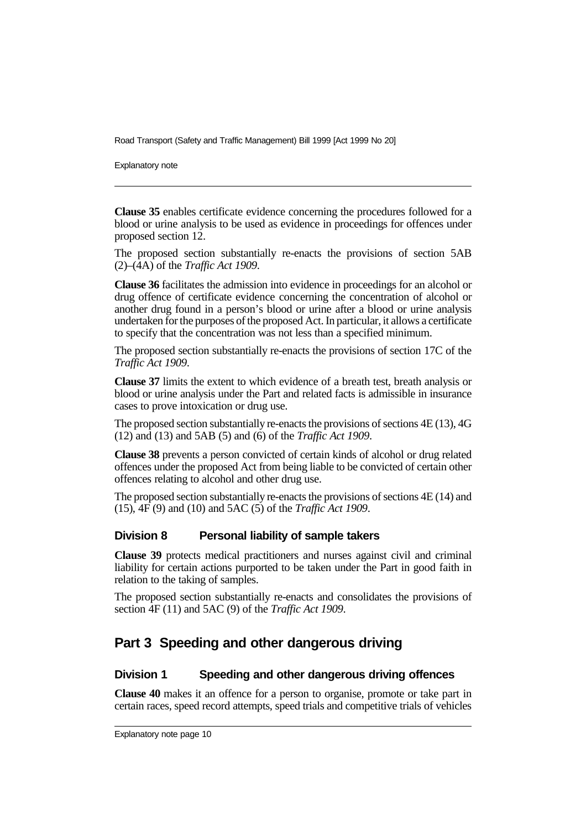Explanatory note

**Clause 35** enables certificate evidence concerning the procedures followed for a blood or urine analysis to be used as evidence in proceedings for offences under proposed section 12.

The proposed section substantially re-enacts the provisions of section 5AB (2)–(4A) of the *Traffic Act 1909*.

**Clause 36** facilitates the admission into evidence in proceedings for an alcohol or drug offence of certificate evidence concerning the concentration of alcohol or another drug found in a person's blood or urine after a blood or urine analysis undertaken for the purposes of the proposed Act. In particular, it allows a certificate to specify that the concentration was not less than a specified minimum.

The proposed section substantially re-enacts the provisions of section 17C of the *Traffic Act 1909*.

**Clause 37** limits the extent to which evidence of a breath test, breath analysis or blood or urine analysis under the Part and related facts is admissible in insurance cases to prove intoxication or drug use.

The proposed section substantially re-enacts the provisions of sections 4E (13), 4G (12) and (13) and 5AB (5) and (6) of the *Traffic Act 1909*.

**Clause 38** prevents a person convicted of certain kinds of alcohol or drug related offences under the proposed Act from being liable to be convicted of certain other offences relating to alcohol and other drug use.

The proposed section substantially re-enacts the provisions of sections 4E (14) and (15), 4F (9) and (10) and 5AC (5) of the *Traffic Act 1909*.

### **Division 8 Personal liability of sample takers**

**Clause 39** protects medical practitioners and nurses against civil and criminal liability for certain actions purported to be taken under the Part in good faith in relation to the taking of samples.

The proposed section substantially re-enacts and consolidates the provisions of section 4F (11) and 5AC (9) of the *Traffic Act 1909*.

# **Part 3 Speeding and other dangerous driving**

### **Division 1 Speeding and other dangerous driving offences**

**Clause 40** makes it an offence for a person to organise, promote or take part in certain races, speed record attempts, speed trials and competitive trials of vehicles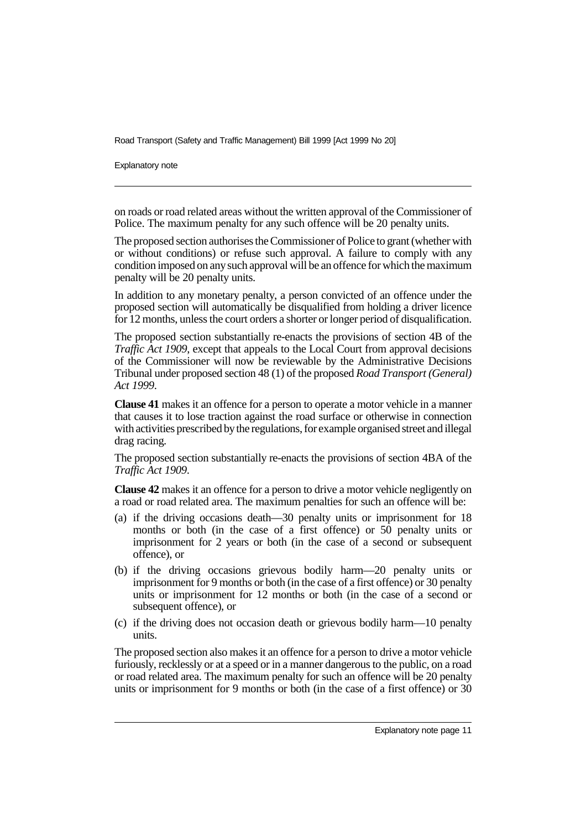Explanatory note

on roads or road related areas without the written approval of the Commissioner of Police. The maximum penalty for any such offence will be 20 penalty units.

The proposed section authorises the Commissioner of Police to grant (whether with or without conditions) or refuse such approval. A failure to comply with any condition imposed on any such approval will be an offence for which the maximum penalty will be 20 penalty units.

In addition to any monetary penalty, a person convicted of an offence under the proposed section will automatically be disqualified from holding a driver licence for 12 months, unless the court orders a shorter or longer period of disqualification.

The proposed section substantially re-enacts the provisions of section 4B of the *Traffic Act 1909*, except that appeals to the Local Court from approval decisions of the Commissioner will now be reviewable by the Administrative Decisions Tribunal under proposed section 48 (1) of the proposed *Road Transport (General) Act 1999*.

**Clause 41** makes it an offence for a person to operate a motor vehicle in a manner that causes it to lose traction against the road surface or otherwise in connection with activities prescribed by the regulations, for example organised street and illegal drag racing.

The proposed section substantially re-enacts the provisions of section 4BA of the *Traffic Act 1909*.

**Clause 42** makes it an offence for a person to drive a motor vehicle negligently on a road or road related area. The maximum penalties for such an offence will be:

- (a) if the driving occasions death—30 penalty units or imprisonment for 18 months or both (in the case of a first offence) or 50 penalty units or imprisonment for 2 years or both (in the case of a second or subsequent offence), or
- (b) if the driving occasions grievous bodily harm—20 penalty units or imprisonment for 9 months or both (in the case of a first offence) or 30 penalty units or imprisonment for 12 months or both (in the case of a second or subsequent offence), or
- (c) if the driving does not occasion death or grievous bodily harm—10 penalty units.

The proposed section also makes it an offence for a person to drive a motor vehicle furiously, recklessly or at a speed or in a manner dangerous to the public, on a road or road related area. The maximum penalty for such an offence will be 20 penalty units or imprisonment for 9 months or both (in the case of a first offence) or 30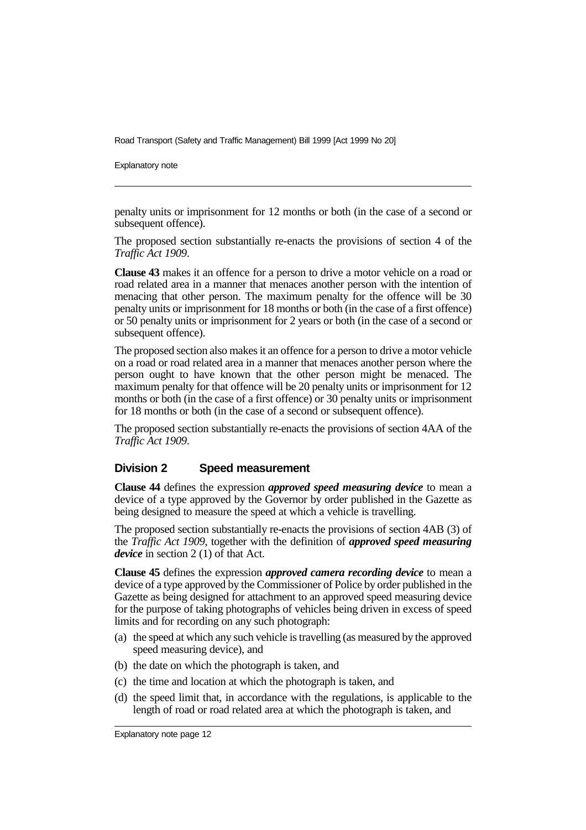Explanatory note

penalty units or imprisonment for 12 months or both (in the case of a second or subsequent offence).

The proposed section substantially re-enacts the provisions of section 4 of the *Traffic Act 1909*.

**Clause 43** makes it an offence for a person to drive a motor vehicle on a road or road related area in a manner that menaces another person with the intention of menacing that other person. The maximum penalty for the offence will be 30 penalty units or imprisonment for 18 months or both (in the case of a first offence) or 50 penalty units or imprisonment for 2 years or both (in the case of a second or subsequent offence).

The proposed section also makes it an offence for a person to drive a motor vehicle on a road or road related area in a manner that menaces another person where the person ought to have known that the other person might be menaced. The maximum penalty for that offence will be 20 penalty units or imprisonment for 12 months or both (in the case of a first offence) or 30 penalty units or imprisonment for 18 months or both (in the case of a second or subsequent offence).

The proposed section substantially re-enacts the provisions of section 4AA of the *Traffic Act 1909*.

#### **Division 2 Speed measurement**

**Clause 44** defines the expression *approved speed measuring device* to mean a device of a type approved by the Governor by order published in the Gazette as being designed to measure the speed at which a vehicle is travelling.

The proposed section substantially re-enacts the provisions of section 4AB (3) of the *Traffic Act 1909*, together with the definition of *approved speed measuring device* in section 2 (1) of that Act.

**Clause 45** defines the expression *approved camera recording device* to mean a device of a type approved by the Commissioner of Police by order published in the Gazette as being designed for attachment to an approved speed measuring device for the purpose of taking photographs of vehicles being driven in excess of speed limits and for recording on any such photograph:

- (a) the speed at which any such vehicle is travelling (as measured by the approved speed measuring device), and
- (b) the date on which the photograph is taken, and
- (c) the time and location at which the photograph is taken, and
- (d) the speed limit that, in accordance with the regulations, is applicable to the length of road or road related area at which the photograph is taken, and

Explanatory note page 12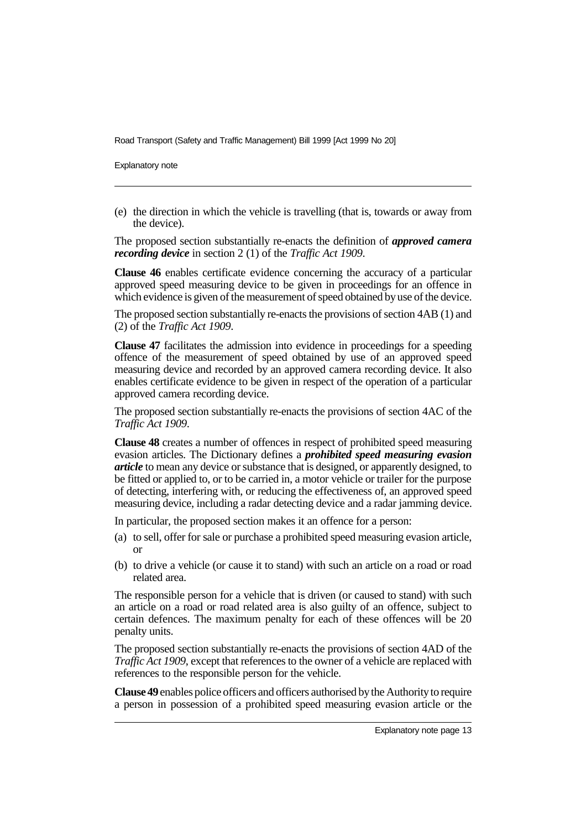Explanatory note

(e) the direction in which the vehicle is travelling (that is, towards or away from the device).

The proposed section substantially re-enacts the definition of *approved camera recording device* in section 2 (1) of the *Traffic Act 1909*.

**Clause 46** enables certificate evidence concerning the accuracy of a particular approved speed measuring device to be given in proceedings for an offence in which evidence is given of the measurement of speed obtained by use of the device.

The proposed section substantially re-enacts the provisions of section 4AB (1) and (2) of the *Traffic Act 1909*.

**Clause 47** facilitates the admission into evidence in proceedings for a speeding offence of the measurement of speed obtained by use of an approved speed measuring device and recorded by an approved camera recording device. It also enables certificate evidence to be given in respect of the operation of a particular approved camera recording device.

The proposed section substantially re-enacts the provisions of section 4AC of the *Traffic Act 1909*.

**Clause 48** creates a number of offences in respect of prohibited speed measuring evasion articles. The Dictionary defines a *prohibited speed measuring evasion article* to mean any device or substance that is designed, or apparently designed, to be fitted or applied to, or to be carried in, a motor vehicle or trailer for the purpose of detecting, interfering with, or reducing the effectiveness of, an approved speed measuring device, including a radar detecting device and a radar jamming device.

In particular, the proposed section makes it an offence for a person:

- (a) to sell, offer for sale or purchase a prohibited speed measuring evasion article, or
- (b) to drive a vehicle (or cause it to stand) with such an article on a road or road related area.

The responsible person for a vehicle that is driven (or caused to stand) with such an article on a road or road related area is also guilty of an offence, subject to certain defences. The maximum penalty for each of these offences will be 20 penalty units.

The proposed section substantially re-enacts the provisions of section 4AD of the *Traffic Act 1909*, except that references to the owner of a vehicle are replaced with references to the responsible person for the vehicle.

**Clause 49** enables police officers and officers authorised by the Authority to require a person in possession of a prohibited speed measuring evasion article or the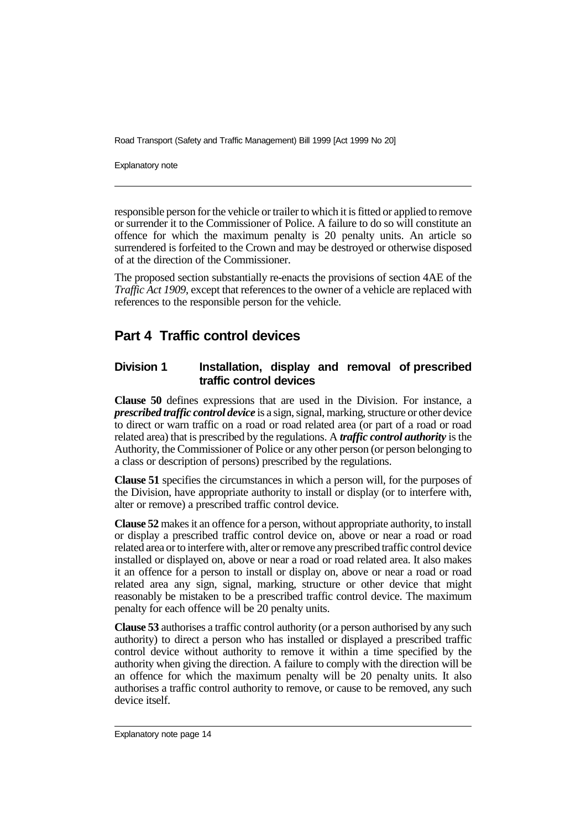Explanatory note

responsible person for the vehicle or trailer to which it is fitted or applied to remove or surrender it to the Commissioner of Police. A failure to do so will constitute an offence for which the maximum penalty is 20 penalty units. An article so surrendered is forfeited to the Crown and may be destroyed or otherwise disposed of at the direction of the Commissioner.

The proposed section substantially re-enacts the provisions of section 4AE of the *Traffic Act 1909*, except that references to the owner of a vehicle are replaced with references to the responsible person for the vehicle.

# **Part 4 Traffic control devices**

### **Division 1 Installation, display and removal of prescribed traffic control devices**

**Clause 50** defines expressions that are used in the Division. For instance, a *prescribed traffic control device* is a sign, signal, marking, structure or other device to direct or warn traffic on a road or road related area (or part of a road or road related area) that is prescribed by the regulations. A *traffic control authority* is the Authority, the Commissioner of Police or any other person (or person belonging to a class or description of persons) prescribed by the regulations.

**Clause 51** specifies the circumstances in which a person will, for the purposes of the Division, have appropriate authority to install or display (or to interfere with, alter or remove) a prescribed traffic control device.

**Clause 52** makes it an offence for a person, without appropriate authority, to install or display a prescribed traffic control device on, above or near a road or road related area or to interfere with, alter or remove any prescribed traffic control device installed or displayed on, above or near a road or road related area. It also makes it an offence for a person to install or display on, above or near a road or road related area any sign, signal, marking, structure or other device that might reasonably be mistaken to be a prescribed traffic control device. The maximum penalty for each offence will be 20 penalty units.

**Clause 53** authorises a traffic control authority (or a person authorised by any such authority) to direct a person who has installed or displayed a prescribed traffic control device without authority to remove it within a time specified by the authority when giving the direction. A failure to comply with the direction will be an offence for which the maximum penalty will be 20 penalty units. It also authorises a traffic control authority to remove, or cause to be removed, any such device itself.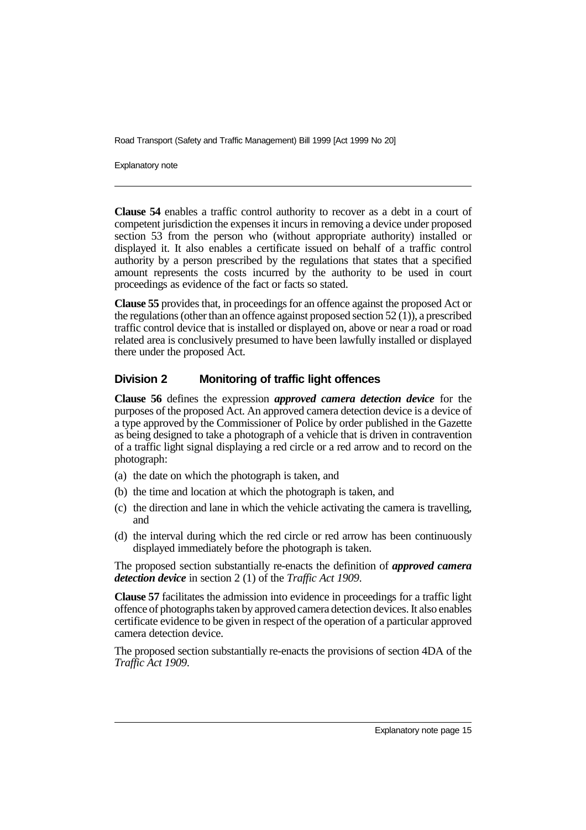Explanatory note

**Clause 54** enables a traffic control authority to recover as a debt in a court of competent jurisdiction the expenses it incurs in removing a device under proposed section 53 from the person who (without appropriate authority) installed or displayed it. It also enables a certificate issued on behalf of a traffic control authority by a person prescribed by the regulations that states that a specified amount represents the costs incurred by the authority to be used in court proceedings as evidence of the fact or facts so stated.

**Clause 55** provides that, in proceedings for an offence against the proposed Act or the regulations (other than an offence against proposed section 52 (1)), a prescribed traffic control device that is installed or displayed on, above or near a road or road related area is conclusively presumed to have been lawfully installed or displayed there under the proposed Act.

### **Division 2 Monitoring of traffic light offences**

**Clause 56** defines the expression *approved camera detection device* for the purposes of the proposed Act. An approved camera detection device is a device of a type approved by the Commissioner of Police by order published in the Gazette as being designed to take a photograph of a vehicle that is driven in contravention of a traffic light signal displaying a red circle or a red arrow and to record on the photograph:

- (a) the date on which the photograph is taken, and
- (b) the time and location at which the photograph is taken, and
- (c) the direction and lane in which the vehicle activating the camera is travelling, and
- (d) the interval during which the red circle or red arrow has been continuously displayed immediately before the photograph is taken.

The proposed section substantially re-enacts the definition of *approved camera detection device* in section 2 (1) of the *Traffic Act 1909*.

**Clause 57** facilitates the admission into evidence in proceedings for a traffic light offence of photographs taken by approved camera detection devices. It also enables certificate evidence to be given in respect of the operation of a particular approved camera detection device.

The proposed section substantially re-enacts the provisions of section 4DA of the *Traffic Act 1909*.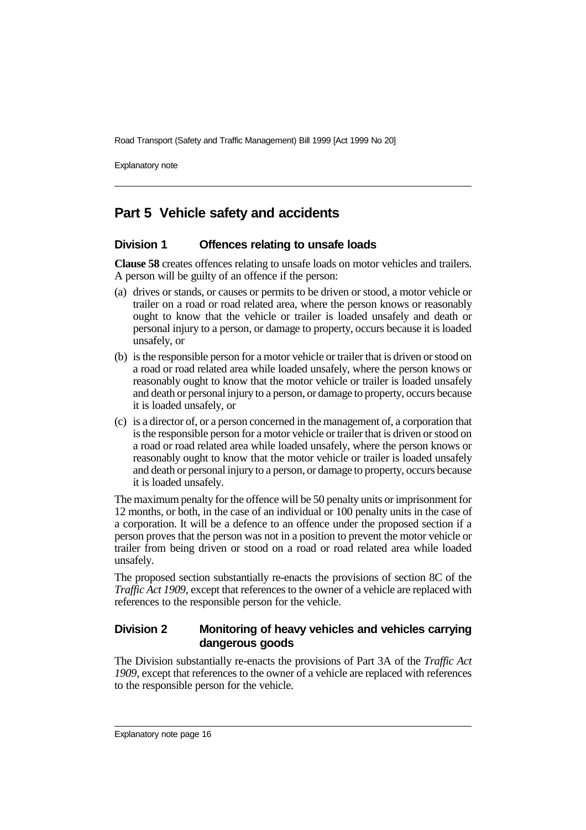Explanatory note

# **Part 5 Vehicle safety and accidents**

### **Division 1 Offences relating to unsafe loads**

**Clause 58** creates offences relating to unsafe loads on motor vehicles and trailers. A person will be guilty of an offence if the person:

- (a) drives or stands, or causes or permits to be driven or stood, a motor vehicle or trailer on a road or road related area, where the person knows or reasonably ought to know that the vehicle or trailer is loaded unsafely and death or personal injury to a person, or damage to property, occurs because it is loaded unsafely, or
- (b) is the responsible person for a motor vehicle or trailer that is driven or stood on a road or road related area while loaded unsafely, where the person knows or reasonably ought to know that the motor vehicle or trailer is loaded unsafely and death or personal injury to a person, or damage to property, occurs because it is loaded unsafely, or
- (c) is a director of, or a person concerned in the management of, a corporation that is the responsible person for a motor vehicle or trailer that is driven or stood on a road or road related area while loaded unsafely, where the person knows or reasonably ought to know that the motor vehicle or trailer is loaded unsafely and death or personal injury to a person, or damage to property, occurs because it is loaded unsafely.

The maximum penalty for the offence will be 50 penalty units or imprisonment for 12 months, or both, in the case of an individual or 100 penalty units in the case of a corporation. It will be a defence to an offence under the proposed section if a person proves that the person was not in a position to prevent the motor vehicle or trailer from being driven or stood on a road or road related area while loaded unsafely.

The proposed section substantially re-enacts the provisions of section 8C of the *Traffic Act 1909*, except that references to the owner of a vehicle are replaced with references to the responsible person for the vehicle.

### **Division 2 Monitoring of heavy vehicles and vehicles carrying dangerous goods**

The Division substantially re-enacts the provisions of Part 3A of the *Traffic Act 1909*, except that references to the owner of a vehicle are replaced with references to the responsible person for the vehicle.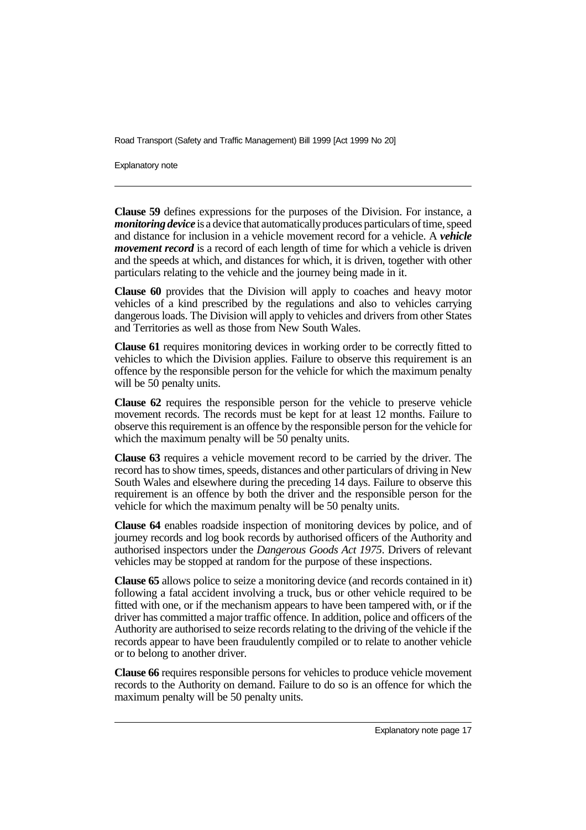Explanatory note

**Clause 59** defines expressions for the purposes of the Division. For instance, a *monitoring device* is a device that automatically produces particulars of time, speed and distance for inclusion in a vehicle movement record for a vehicle. A *vehicle movement record* is a record of each length of time for which a vehicle is driven and the speeds at which, and distances for which, it is driven, together with other particulars relating to the vehicle and the journey being made in it.

**Clause 60** provides that the Division will apply to coaches and heavy motor vehicles of a kind prescribed by the regulations and also to vehicles carrying dangerous loads. The Division will apply to vehicles and drivers from other States and Territories as well as those from New South Wales.

**Clause 61** requires monitoring devices in working order to be correctly fitted to vehicles to which the Division applies. Failure to observe this requirement is an offence by the responsible person for the vehicle for which the maximum penalty will be 50 penalty units.

**Clause 62** requires the responsible person for the vehicle to preserve vehicle movement records. The records must be kept for at least 12 months. Failure to observe this requirement is an offence by the responsible person for the vehicle for which the maximum penalty will be 50 penalty units.

**Clause 63** requires a vehicle movement record to be carried by the driver. The record has to show times, speeds, distances and other particulars of driving in New South Wales and elsewhere during the preceding 14 days. Failure to observe this requirement is an offence by both the driver and the responsible person for the vehicle for which the maximum penalty will be 50 penalty units.

**Clause 64** enables roadside inspection of monitoring devices by police, and of journey records and log book records by authorised officers of the Authority and authorised inspectors under the *Dangerous Goods Act 1975*. Drivers of relevant vehicles may be stopped at random for the purpose of these inspections.

**Clause 65** allows police to seize a monitoring device (and records contained in it) following a fatal accident involving a truck, bus or other vehicle required to be fitted with one, or if the mechanism appears to have been tampered with, or if the driver has committed a major traffic offence. In addition, police and officers of the Authority are authorised to seize records relating to the driving of the vehicle if the records appear to have been fraudulently compiled or to relate to another vehicle or to belong to another driver.

**Clause 66** requires responsible persons for vehicles to produce vehicle movement records to the Authority on demand. Failure to do so is an offence for which the maximum penalty will be 50 penalty units.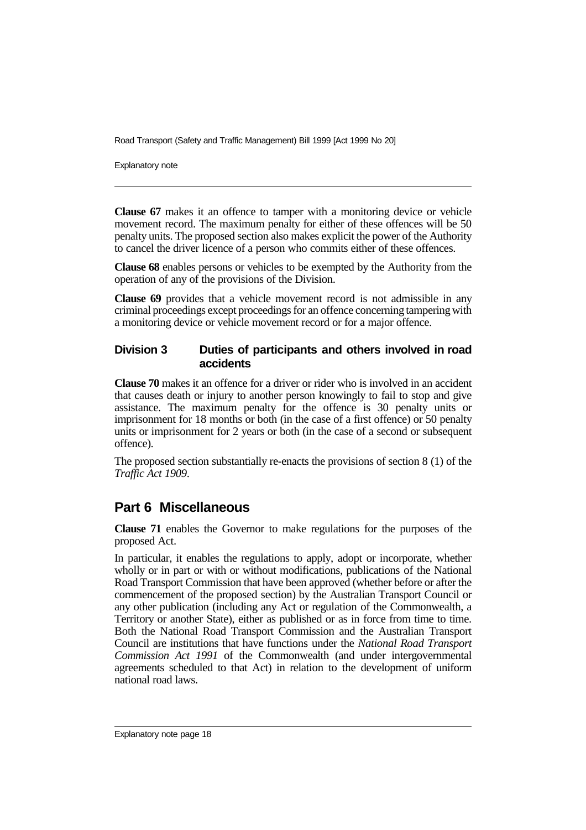Explanatory note

**Clause 67** makes it an offence to tamper with a monitoring device or vehicle movement record. The maximum penalty for either of these offences will be 50 penalty units. The proposed section also makes explicit the power of the Authority to cancel the driver licence of a person who commits either of these offences.

**Clause 68** enables persons or vehicles to be exempted by the Authority from the operation of any of the provisions of the Division.

**Clause 69** provides that a vehicle movement record is not admissible in any criminal proceedings except proceedings for an offence concerning tampering with a monitoring device or vehicle movement record or for a major offence.

### **Division 3 Duties of participants and others involved in road accidents**

**Clause 70** makes it an offence for a driver or rider who is involved in an accident that causes death or injury to another person knowingly to fail to stop and give assistance. The maximum penalty for the offence is 30 penalty units or imprisonment for 18 months or both (in the case of a first offence) or 50 penalty units or imprisonment for 2 years or both (in the case of a second or subsequent offence).

The proposed section substantially re-enacts the provisions of section 8 (1) of the *Traffic Act 1909*.

## **Part 6 Miscellaneous**

**Clause 71** enables the Governor to make regulations for the purposes of the proposed Act.

In particular, it enables the regulations to apply, adopt or incorporate, whether wholly or in part or with or without modifications, publications of the National Road Transport Commission that have been approved (whether before or after the commencement of the proposed section) by the Australian Transport Council or any other publication (including any Act or regulation of the Commonwealth, a Territory or another State), either as published or as in force from time to time. Both the National Road Transport Commission and the Australian Transport Council are institutions that have functions under the *National Road Transport Commission Act 1991* of the Commonwealth (and under intergovernmental agreements scheduled to that Act) in relation to the development of uniform national road laws.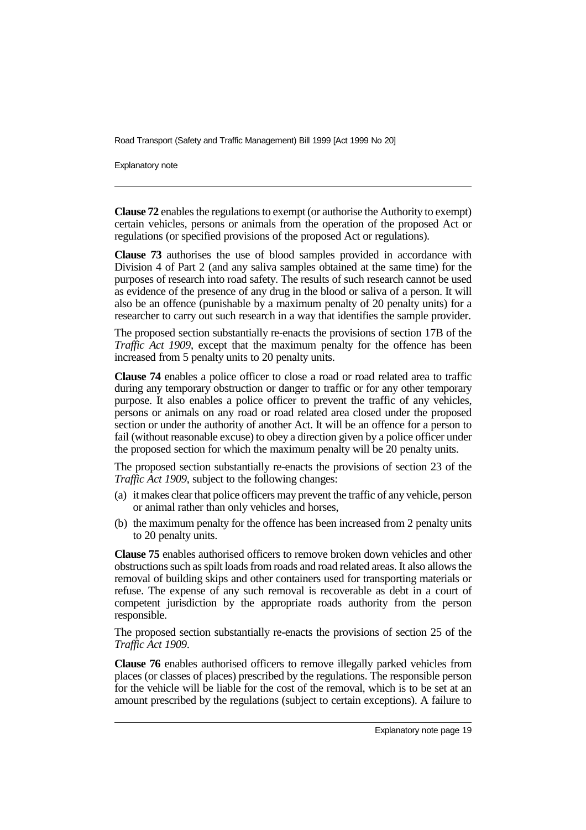Explanatory note

**Clause 72** enables the regulations to exempt (or authorise the Authority to exempt) certain vehicles, persons or animals from the operation of the proposed Act or regulations (or specified provisions of the proposed Act or regulations).

**Clause 73** authorises the use of blood samples provided in accordance with Division 4 of Part 2 (and any saliva samples obtained at the same time) for the purposes of research into road safety. The results of such research cannot be used as evidence of the presence of any drug in the blood or saliva of a person. It will also be an offence (punishable by a maximum penalty of 20 penalty units) for a researcher to carry out such research in a way that identifies the sample provider.

The proposed section substantially re-enacts the provisions of section 17B of the *Traffic Act 1909*, except that the maximum penalty for the offence has been increased from 5 penalty units to 20 penalty units.

**Clause 74** enables a police officer to close a road or road related area to traffic during any temporary obstruction or danger to traffic or for any other temporary purpose. It also enables a police officer to prevent the traffic of any vehicles, persons or animals on any road or road related area closed under the proposed section or under the authority of another Act. It will be an offence for a person to fail (without reasonable excuse) to obey a direction given by a police officer under the proposed section for which the maximum penalty will be 20 penalty units.

The proposed section substantially re-enacts the provisions of section 23 of the *Traffic Act 1909*, subject to the following changes:

- (a) it makes clear that police officers may prevent the traffic of any vehicle, person or animal rather than only vehicles and horses,
- (b) the maximum penalty for the offence has been increased from 2 penalty units to 20 penalty units.

**Clause 75** enables authorised officers to remove broken down vehicles and other obstructions such as spilt loads from roads and road related areas. It also allows the removal of building skips and other containers used for transporting materials or refuse. The expense of any such removal is recoverable as debt in a court of competent jurisdiction by the appropriate roads authority from the person responsible.

The proposed section substantially re-enacts the provisions of section 25 of the *Traffic Act 1909*.

**Clause 76** enables authorised officers to remove illegally parked vehicles from places (or classes of places) prescribed by the regulations. The responsible person for the vehicle will be liable for the cost of the removal, which is to be set at an amount prescribed by the regulations (subject to certain exceptions). A failure to